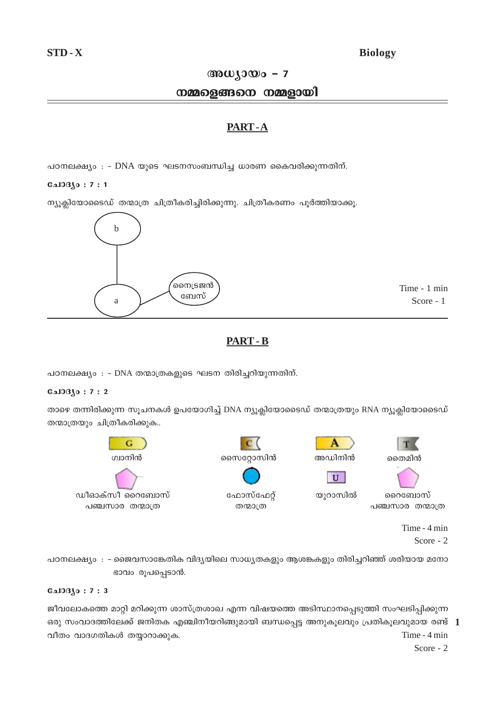## **Biology**

## അധ്യായം -  $7$

## നമ്മളെങ്ങനെ നമ്മളായി

## PART-A

പഠനലക്ഷ്യം : - DNA യുടെ ഘടനസംബന്ധിച്ച ധാരണ കൈവരിക്കുന്നതിന്.

### $0.103(0:7:1)$

ന്യൂക്ലിയോടൈഡ് തന്മാത്ര ചിത്രീകരിച്ചിരിക്കുന്നു. ചിത്രീകരണം പൂർത്തിയാക്കൂ.



Time - 1 min Score - 1

# **PART - B**

പഠനലക്ഷ്യം : - DNA തന്മാത്രകളുടെ ഘടന തിരിച്ചറിയുന്നതിന്.

### $0.103(0:7:2)$

താഴെ തന്നിരിക്കുന്ന സൂചനകൾ ഉപയോഗിച്ച് DNA ന്യൂക്ലിയോടൈഡ് തന്മാത്രയും RNA ന്യൂക്ലിയോടൈഡ് തന്മാത്രയും ചിത്രീകരിക്കുക..



Time - 4 min Score - 2

പഠനലക്ഷ്യം : - ജൈവസാങ്കേതിക വിദ്യയിലെ സാധ്യതകളും ആശങ്കകളും തിരിച്ചറിഞ്ഞ് ശരിയായ മനോ ഭാവം രൂപപ്പെടാൻ.

### $0.103(0:7:3)$

ജീവലോകത്തെ മാറ്റി മറിക്കുന്ന ശാസ്ത്രശാഖ എന്ന വിഷയത്തെ അടിസ്ഥാനപ്പെടുത്തി സംഘടിപ്പിക്കുന്ന ഒരു സംവാദത്തിലേക്ക് ജനിതക എഞ്ചിനീയറിങ്ങുമായി ബന്ധപ്പെട്ട അനുകൂലവും പ്രതികൂലവുമായ രണ്ട് 1 Time - 4 min വീതം വാദഗതികൾ തയ്യാറാക്കുക.

Score -  $2$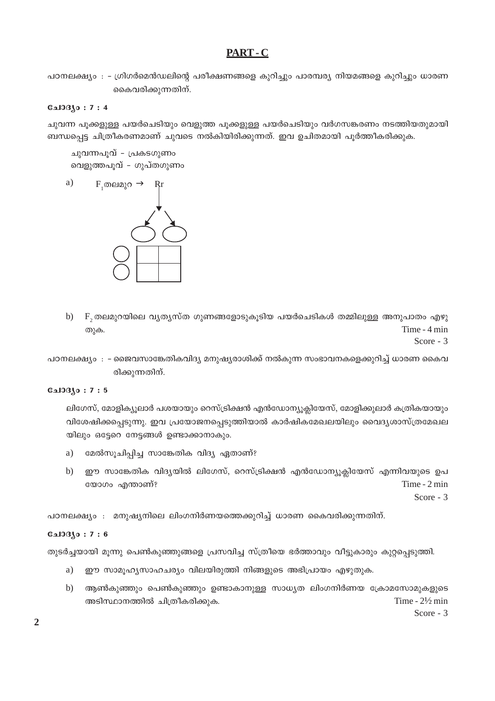# PART-C

പഠനലക്ഷ്യം : - ഗ്രിഗർമെൻഡലിന്റെ പരീക്ഷണങ്ങളെ കുറിച്ചും പാരമ്പര്യ നിയമങ്ങളെ കുറിച്ചും ധാരണ കൈവരിക്കുന്നതിന്.

### $0.1030:7:4$

ചുവന്ന പൂക്കളുള്ള പയർചെടിയും വെളുത്ത പൂക്കളുള്ള പയർചെടിയും വർഗസങ്കരണം നടത്തിയതുമായി ബന്ധപ്പെട്ട ചിത്രീകരണമാണ് ചുവടെ നൽകിയിരിക്കുന്നത്. ഇവ ഉചിതമായി പൂർത്തീകരിക്കുക.

ചുവന്നപൂവ് - പ്രകടഗുണം വെളുത്തപുവ് - ഗുപ്തഗുണം



 $F$ , തലമുറയിലെ വ്യതൃസ്ത ഗുണങ്ങളോടുകൂടിയ പയർചെടികൾ തമ്മിലുള്ള അനുപാതം എഴു  $b)$ Time - 4 min തുക.

Score -  $3$ 

പഠനലക്ഷ്യം : - ജൈവസാങ്കേതികവിദ്യ മനുഷ്യരാശിക്ക് നൽകുന്ന സംഭാവനകളെക്കുറിച്ച് ധാരണ കൈവ രിക്കുന്നതിന്.

#### **CalOBJo: 7:5**

ലിഗേസ്, മോളിക്യുലാർ പശയായും റെസ്ട്രിക്ഷൻ എൻഡോന്യൂക്ലിയേസ്, മോളിക്കുലാർ കത്രികയായും വിശേഷിക്കപ്പെടുന്നു. ഇവ പ്രയോജനപ്പെടുത്തിയാൽ കാർഷികമേഖലയിലും വൈദൃശാസ്ത്രമേഖല യിലും ഒട്ടേറെ നേട്ടങ്ങൾ ഉണ്ടാക്കാനാകും.

- മേൽസൂചിപ്പിച്ച സാങ്കേതിക വിദ്യ ഏതാണ്?  $a)$
- ഈ സാങ്കേതിക വിദ്യയിൽ ലിഗേസ്, റെസ്ട്രിക്ഷൻ എൻഡോന്യുക്ലിയേസ് എന്നിവയുടെ ഉപ  $b)$ യോഗം എന്താണ്? Time - 2 min

Score -  $3$ 

പഠനലക്ഷ്യം : മനുഷ്യനിലെ ലിംഗനിർണയത്തെക്കുറിച്ച് ധാരണ കൈവരിക്കുന്നതിന്.

### $0.103(0:7:6)$

തുടർച്ചയായി മൂന്നു പെൺകുഞ്ഞുങ്ങളെ പ്രസവിച്ച സ്ത്രീയെ ഭർത്താവും വീട്ടുകാരും കുറ്റപ്പെടുത്തി.

- ഈ സാമൂഹ്യസാഹചര്യം വിലയിരുത്തി നിങ്ങളുടെ അഭിപ്രായം എഴുതുക. a)
- ആൺകുഞ്ഞും പെൺകുഞ്ഞും ഉണ്ടാകാനുള്ള സാധ്യത ലിംഗനിർണയ ക്രോമസോമുകളുടെ  $b)$ Time -  $2\frac{1}{2}$  min അടിസ്ഥാനത്തിൽ ചിത്രീകരിക്കുക.

Score -  $3$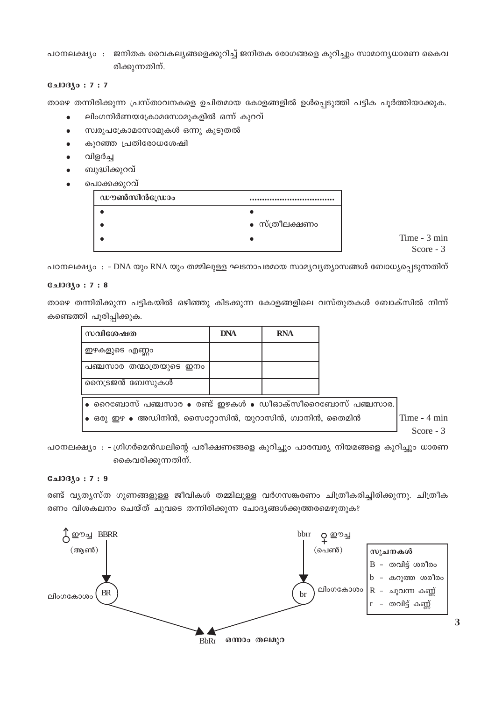ജനിതക വൈകല്യങ്ങളെക്കുറിച്ച് ജനിതക രോഗങ്ങളെ കുറിച്ചും സാമാന്യധാരണ കൈവ പഠനലക്ഷ്യം : രിക്കുന്നതിന്.

#### **Cal03jo: 7:7**

താഴെ തന്നിരിക്കുന്ന പ്രസ്താവനകളെ ഉചിതമായ കോളങ്ങളിൽ ഉൾപ്പെടുത്തി പട്ടിക പൂർത്തിയാക്കുക.

- ലിംഗനിർണയക്രോമസോമുകളിൽ ഒന്ന് കുറവ്  $\bullet$
- സ്വരൂപക്രോമസോമുകൾ ഒന്നു കൂടുതൽ
- കുറഞ്ഞ പ്രതിരോധശേഷി
- വിളർച്ച
- ബുദ്ധിക്കുറവ്
- പൊക്കക്കുറവ്

| ഡൗൺസിൻഡ്രോം |                |
|-------------|----------------|
|             | • സ്ത്രീലക്ഷണം |

Time - 3 min Score -  $3$ 

പഠനലക്ഷ്യം : – DNA യും RNA യും തമ്മിലുള്ള ഘടനാപരമായ സാമ്യവ്യത്യാസങ്ങൾ ബോധ്യപ്പെടുന്നതിന്

#### **G**ചാദ്യം : 7 : 8

താഴെ തന്നിരിക്കുന്ന പട്ടികയിൽ ഒഴിഞ്ഞു കിടക്കുന്ന കോളങ്ങളിലെ വസ്തുതകൾ ബോക്സിൽ നിന്ന് കണ്ടെത്തി പൂരിപ്പിക്കുക.

| സവിശേഷത                                                                        | <b>DNA</b> | <b>RNA</b> |  |              |
|--------------------------------------------------------------------------------|------------|------------|--|--------------|
| ഇഴകളുടെ എണ്ണം                                                                  |            |            |  |              |
| പഞ്ചസാര തന്മാത്രയുടെ ഇനം                                                       |            |            |  |              |
| നൈട്രജൻ ബേസുകൾ                                                                 |            |            |  |              |
| $\bullet$ റൈബോസ് പഞ്ചസാര $\bullet$ രണ്ട് ഇഴകൾ $\bullet$ ഡീഓക്സീറൈബോസ് പഞ്ചസാര. |            |            |  |              |
| $\bullet$ ഒരു ഇഴ $\bullet$ അഡിനിൻ, സൈറ്റോസിൻ, യുറാസിൻ, ഗ്വാനിൻ, തൈമിൻ          |            |            |  | Time - 4 min |
|                                                                                |            |            |  | Score $-3$   |

പഠനലക്ഷ്യം : -ഗ്രിഗർമെൻഡലിന്റെ പരീക്ഷണങ്ങളെ കുറിച്ചും പാരമ്പര്യ നിയമങ്ങളെ കുറിച്ചും ധാരണ കൈവരിക്കുന്നതിന്.

### **CalOBJo: 7:9**

രണ്ട് വ്യത്യസ്ത ഗുണങ്ങളുള്ള ജീവികൾ തമ്മിലുള്ള വർഗസങ്കരണം ചിത്രീകരിച്ചിരിക്കുന്നു. ചിത്രീക രണം വിശകലനം ചെയ്ത് ചുവടെ തന്നിരിക്കുന്ന ചോദ്യങ്ങൾക്കുത്തരമെഴുതുക?

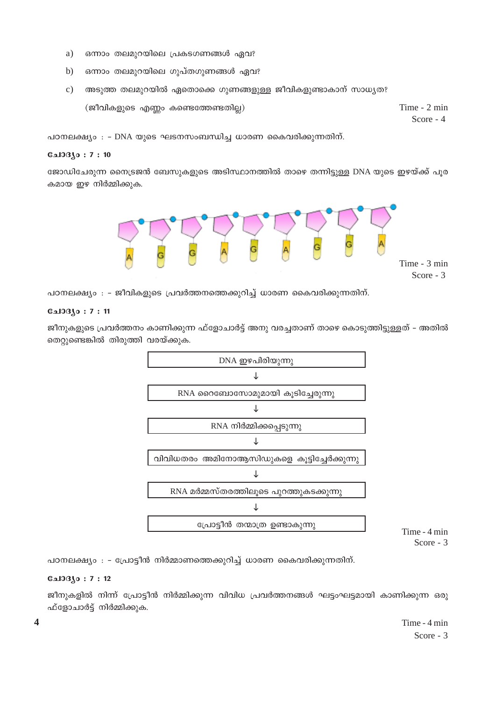- $a)$ ഒന്നാം തലമുറയിലെ പ്രകടഗണങ്ങൾ ഏവ?
- $b)$ ഒന്നാം തലമുറയിലെ ഗുപ്തഗുണങ്ങൾ ഏവ?
- അടുത്ത തലമുറയിൽ ഏതൊക്കെ ഗുണങ്ങളുള്ള ജീവികളുണ്ടാകാന് സാധൃത?  $\mathbf{c})$  $(ga)$ വികളുടെ എണ്ണം കണ്ടെത്തേണ്ടതില്ല) Time - 2 min Score - 4

പഠനലക്ഷ്യം : - DNA യുടെ ഘടനസംബന്ധിച്ച ധാരണ കൈവരിക്കുന്നതിന്.

#### **CalOB**so: 7:10

ജോഡിചേരുന്ന നൈട്രജൻ ബേസുകളുടെ അടിസ്ഥാനത്തിൽ താഴെ തന്നിട്ടുള്ള DNA യുടെ ഇഴയ്ക്ക് പുര കമായ ഇഴ നിർമ്മിക്കുക.



പഠനലക്ഷ്യം : - ജീവികളുടെ പ്രവർത്തനത്തെക്കുറിച്ച് ധാരണ കൈവരിക്കുന്നതിന്.

#### $C_{2}10310:7:11$

ജീനുകളുടെ പ്രവർത്തനം കാണിക്കുന്ന ഫ്ളോചാർട്ട് അനു വരച്ചതാണ് താഴെ കൊടുത്തിട്ടുള്ളത് – അതിൽ തെറ്റുണ്ടെങ്കിൽ തിരുത്തി വരയ്ക്കുക.



Time - 4 min Score -  $3$ 

പഠനലക്ഷ്യം : - പ്രോട്ടീൻ നിർമ്മാണത്തെക്കുറിച്ച് ധാരണ കൈവരിക്കുന്നതിന്.

#### **GalOB**so: 7:12

ജീനുകളിൽ നിന്ന് പ്രോട്ടീൻ നിർമ്മിക്കുന്ന വിവിധ പ്രവർത്തനങ്ങൾ ഘട്ടംഘട്ടമായി കാണിക്കുന്ന ഒരു ഫ്ളോചാർട്ട് നിർമ്മിക്കുക.

> Time - 4 min Score -  $3$